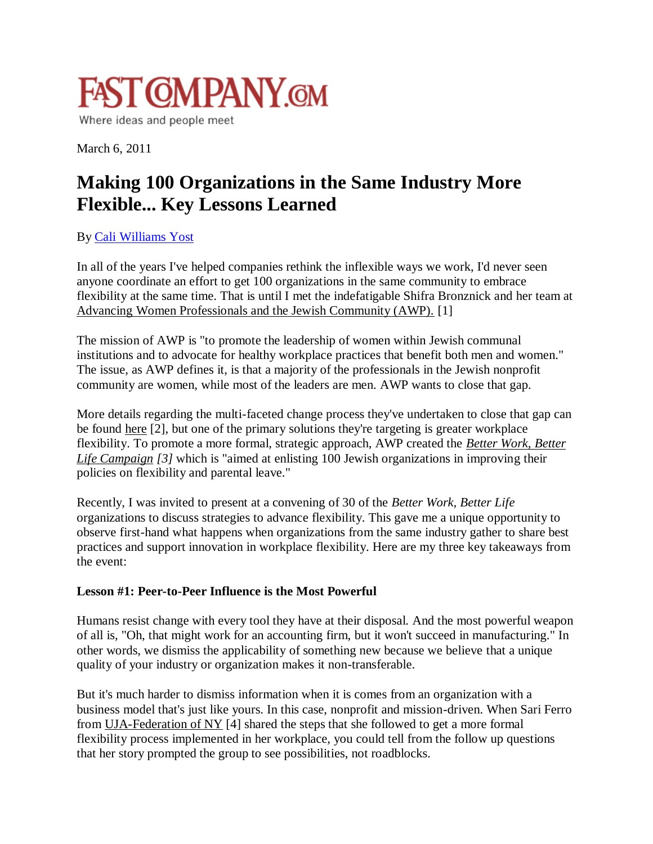

March 6, 2011

# **Making 100 Organizations in the Same Industry More Flexible... Key Lessons Learned**

## By [Cali Williams Yost](http://www.fastcompany.com/user/198)

In all of the years I've helped companies rethink the inflexible ways we work, I'd never seen anyone coordinate an effort to get 100 organizations in the same community to embrace flexibility at the same time. That is until I met the indefatigable Shifra Bronznick and her team at Advancing Women Professionals and the Jewish Community (AWP). [1]

The mission of AWP is "to promote the leadership of women within Jewish communal institutions and to advocate for healthy workplace practices that benefit both men and women." The issue, as AWP defines it, is that a majority of the professionals in the Jewish nonprofit community are women, while most of the leaders are men. AWP wants to close that gap.

More details regarding the multi-faceted change process they've undertaken to close that gap can be found here [2], but one of the primary solutions they're targeting is greater workplace flexibility. To promote a more formal, strategic approach, AWP created the *Better Work, Better Life Campaign [3]* which is "aimed at enlisting 100 Jewish organizations in improving their policies on flexibility and parental leave."

Recently, I was invited to present at a convening of 30 of the *Better Work, Better Life* organizations to discuss strategies to advance flexibility. This gave me a unique opportunity to observe first-hand what happens when organizations from the same industry gather to share best practices and support innovation in workplace flexibility. Here are my three key takeaways from the event:

### **Lesson #1: Peer-to-Peer Influence is the Most Powerful**

Humans resist change with every tool they have at their disposal. And the most powerful weapon of all is, "Oh, that might work for an accounting firm, but it won't succeed in manufacturing." In other words, we dismiss the applicability of something new because we believe that a unique quality of your industry or organization makes it non-transferable.

But it's much harder to dismiss information when it is comes from an organization with a business model that's just like yours. In this case, nonprofit and mission-driven. When Sari Ferro from UJA-Federation of NY [4] shared the steps that she followed to get a more formal flexibility process implemented in her workplace, you could tell from the follow up questions that her story prompted the group to see possibilities, not roadblocks.